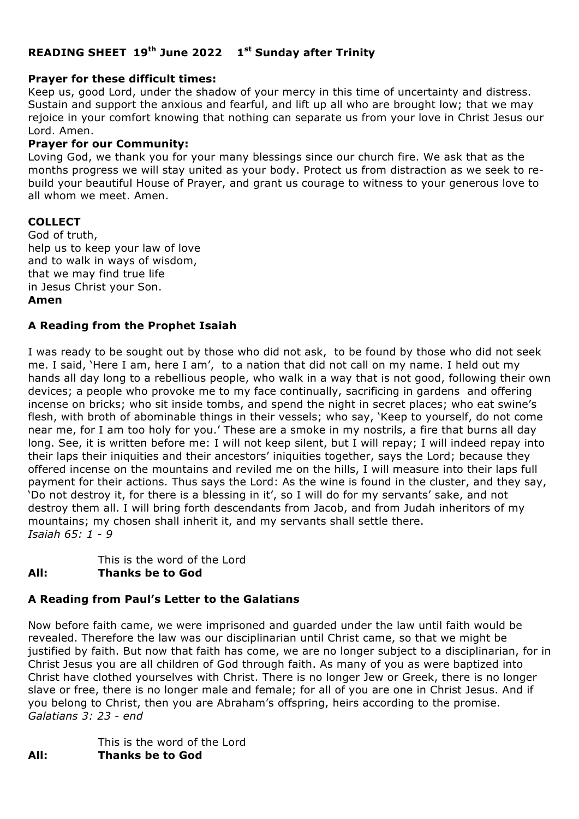# **READING SHEET 19th June 2022 1st Sunday after Trinity**

### **Prayer for these difficult times:**

Keep us, good Lord, under the shadow of your mercy in this time of uncertainty and distress. Sustain and support the anxious and fearful, and lift up all who are brought low; that we may rejoice in your comfort knowing that nothing can separate us from your love in Christ Jesus our Lord. Amen.

### **Prayer for our Community:**

Loving God, we thank you for your many blessings since our church fire. We ask that as the months progress we will stay united as your body. Protect us from distraction as we seek to rebuild your beautiful House of Prayer, and grant us courage to witness to your generous love to all whom we meet. Amen.

#### **COLLECT**

God of truth, help us to keep your law of love and to walk in ways of wisdom, that we may find true life in Jesus Christ your Son. **Amen**

### **A Reading from the Prophet Isaiah**

I was ready to be sought out by those who did not ask, to be found by those who did not seek me. I said, 'Here I am, here I am', to a nation that did not call on my name. I held out my hands all day long to a rebellious people, who walk in a way that is not good, following their own devices; a people who provoke me to my face continually, sacrificing in gardens and offering incense on bricks; who sit inside tombs, and spend the night in secret places; who eat swine's flesh, with broth of abominable things in their vessels; who say, 'Keep to yourself, do not come near me, for I am too holy for you.' These are a smoke in my nostrils, a fire that burns all day long. See, it is written before me: I will not keep silent, but I will repay; I will indeed repay into their laps their iniquities and their ancestors' iniquities together, says the Lord; because they offered incense on the mountains and reviled me on the hills, I will measure into their laps full payment for their actions. Thus says the Lord: As the wine is found in the cluster, and they say, 'Do not destroy it, for there is a blessing in it', so I will do for my servants' sake, and not destroy them all. I will bring forth descendants from Jacob, and from Judah inheritors of my mountains; my chosen shall inherit it, and my servants shall settle there. *Isaiah 65: 1 - 9*

This is the word of the Lord

# **All: Thanks be to God**

### **A Reading from Paul's Letter to the Galatians**

Now before faith came, we were imprisoned and guarded under the law until faith would be revealed. Therefore the law was our disciplinarian until Christ came, so that we might be justified by faith. But now that faith has come, we are no longer subject to a disciplinarian, for in Christ Jesus you are all children of God through faith. As many of you as were baptized into Christ have clothed yourselves with Christ. There is no longer Jew or Greek, there is no longer slave or free, there is no longer male and female; for all of you are one in Christ Jesus. And if you belong to Christ, then you are Abraham's offspring, heirs according to the promise. *Galatians 3: 23 - end*

This is the word of the Lord **All: Thanks be to God**